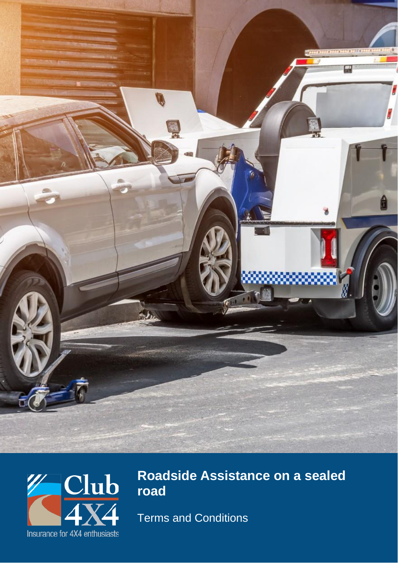



# **Roadside Assistance on a sealed road**

Terms and Conditions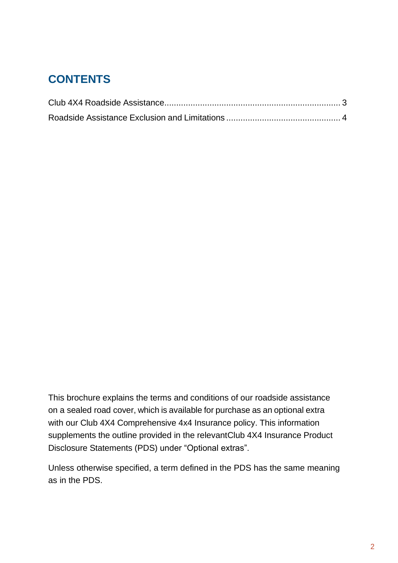### **CONTENTS**

This brochure explains the terms and conditions of our roadside assistance on a sealed road cover, which is available for purchase as an optional extra with our Club 4X4 Comprehensive 4x4 Insurance policy. This information supplements the outline provided in the relevantClub 4X4 Insurance Product Disclosure Statements (PDS) under "Optional extras".

Unless otherwise specified, a term defined in the PDS has the same meaning as in the PDS.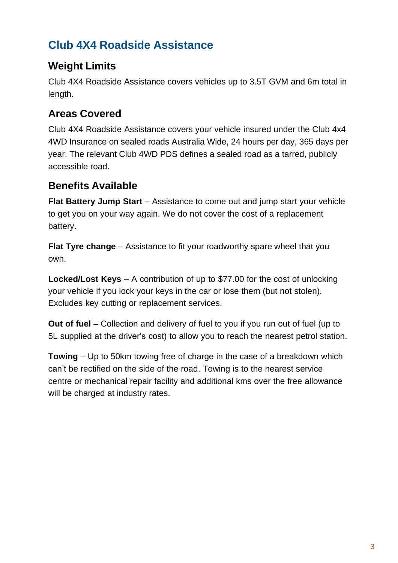## **Club 4X4 Roadside Assistance**

#### **Weight Limits**

Club 4X4 Roadside Assistance covers vehicles up to 3.5T GVM and 6m total in length.

#### **Areas Covered**

Club 4X4 Roadside Assistance covers your vehicle insured under the Club 4x4 4WD Insurance on sealed roads Australia Wide, 24 hours per day, 365 days per year. The relevant Club 4WD PDS defines a sealed road as a tarred, publicly accessible road.

#### **Benefits Available**

**Flat Battery Jump Start** – Assistance to come out and jump start your vehicle to get you on your way again. We do not cover the cost of a replacement battery.

**Flat Tyre change** – Assistance to fit your roadworthy spare wheel that you own.

**Locked/Lost Keys** – A contribution of up to \$77.00 for the cost of unlocking your vehicle if you lock your keys in the car or lose them (but not stolen). Excludes key cutting or replacement services.

**Out of fuel** – Collection and delivery of fuel to you if you run out of fuel (up to 5L supplied at the driver's cost) to allow you to reach the nearest petrol station.

**Towing** – Up to 50km towing free of charge in the case of a breakdown which can't be rectified on the side of the road. Towing is to the nearest service centre or mechanical repair facility and additional kms over the free allowance will be charged at industry rates.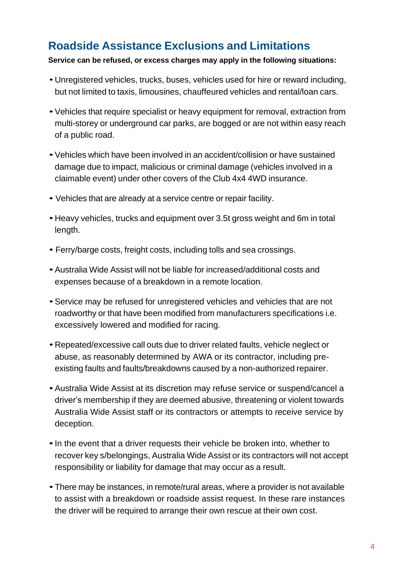### **Roadside Assistance Exclusions and Limitations**

#### **Service can be refused, or excess charges may apply in the following situations:**

- Unregistered vehicles, trucks, buses, vehicles used for hire or reward including, but not limited to taxis, limousines, chauffeured vehicles and rental/loan cars.
- •Vehicles that require specialist or heavy equipment for removal, extraction from multi-storey or underground car parks, are bogged or are not within easy reach of a public road.
- •Vehicles which have been involved in an accident/collision or have sustained damage due to impact, malicious or criminal damage (vehicles involved in a claimable event) under other covers of the Club 4x4 4WD insurance.
- Vehicles that are already at a service centre or repair facility.
- Heavy vehicles, trucks and equipment over 3.5t gross weight and 6m in total length.
- Ferry/barge costs, freight costs, including tolls and sea crossings.
- •Australia Wide Assist will not be liable for increased/additional costs and expenses because of a breakdown in a remote location.
- •Service may be refused for unregistered vehicles and vehicles that are not roadworthy or that have been modified from manufacturers specifications i.e. excessively lowered and modified for racing.
- Repeated/excessive call outs due to driver related faults, vehicle neglect or abuse, as reasonably determined by AWA or its contractor, including preexisting faults and faults/breakdowns caused by a non-authorized repairer.
- •Australia Wide Assist at its discretion may refuse service or suspend/cancel a driver's membership if they are deemed abusive, threatening or violent towards Australia Wide Assist staff or its contractors or attempts to receive service by deception.
- •In the event that a driver requests their vehicle be broken into, whether to recover key s/belongings, Australia Wide Assist or its contractors will not accept responsibility or liability for damage that may occur as a result.
- •There may be instances, in remote/rural areas, where a provider is not available to assist with a breakdown or roadside assist request. In these rare instances the driver will be required to arrange their own rescue at their own cost.